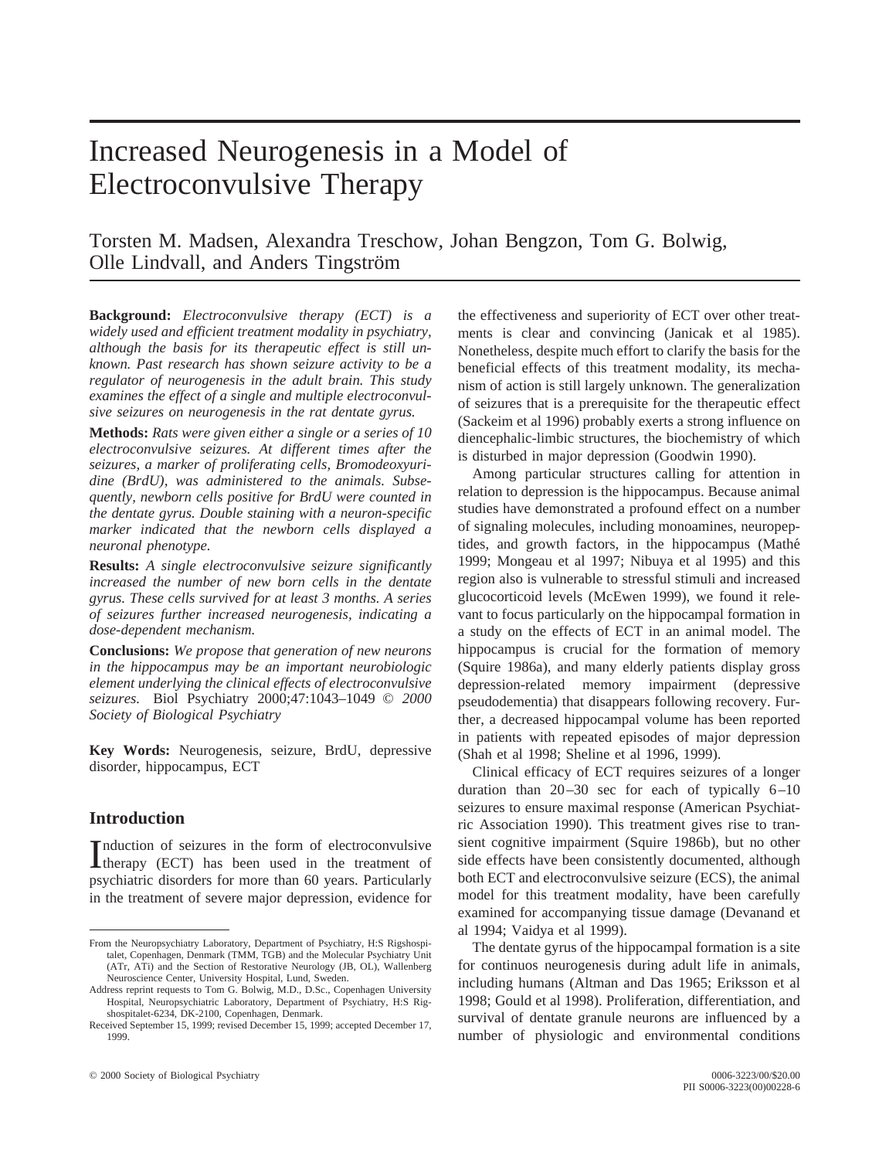# Increased Neurogenesis in a Model of Electroconvulsive Therapy

Torsten M. Madsen, Alexandra Treschow, Johan Bengzon, Tom G. Bolwig, Olle Lindvall, and Anders Tingström

**Background:** *Electroconvulsive therapy (ECT) is a widely used and efficient treatment modality in psychiatry, although the basis for its therapeutic effect is still unknown. Past research has shown seizure activity to be a regulator of neurogenesis in the adult brain. This study examines the effect of a single and multiple electroconvulsive seizures on neurogenesis in the rat dentate gyrus.*

**Methods:** *Rats were given either a single or a series of 10 electroconvulsive seizures. At different times after the seizures, a marker of proliferating cells, Bromodeoxyuridine (BrdU), was administered to the animals. Subsequently, newborn cells positive for BrdU were counted in the dentate gyrus. Double staining with a neuron-specific marker indicated that the newborn cells displayed a neuronal phenotype.*

**Results:** *A single electroconvulsive seizure significantly increased the number of new born cells in the dentate gyrus. These cells survived for at least 3 months. A series of seizures further increased neurogenesis, indicating a dose-dependent mechanism.*

**Conclusions:** *We propose that generation of new neurons in the hippocampus may be an important neurobiologic element underlying the clinical effects of electroconvulsive seizures.* Biol Psychiatry 2000;47:1043–1049 © *2000 Society of Biological Psychiatry*

**Key Words:** Neurogenesis, seizure, BrdU, depressive disorder, hippocampus, ECT

# **Introduction**

Induction of seizures in the form of electroconvulsive<br>therapy (ECT) has been used in the treatment of nduction of seizures in the form of electroconvulsive psychiatric disorders for more than 60 years. Particularly in the treatment of severe major depression, evidence for the effectiveness and superiority of ECT over other treatments is clear and convincing (Janicak et al 1985). Nonetheless, despite much effort to clarify the basis for the beneficial effects of this treatment modality, its mechanism of action is still largely unknown. The generalization of seizures that is a prerequisite for the therapeutic effect (Sackeim et al 1996) probably exerts a strong influence on diencephalic-limbic structures, the biochemistry of which is disturbed in major depression (Goodwin 1990).

Among particular structures calling for attention in relation to depression is the hippocampus. Because animal studies have demonstrated a profound effect on a number of signaling molecules, including monoamines, neuropeptides, and growth factors, in the hippocampus (Mathe´ 1999; Mongeau et al 1997; Nibuya et al 1995) and this region also is vulnerable to stressful stimuli and increased glucocorticoid levels (McEwen 1999), we found it relevant to focus particularly on the hippocampal formation in a study on the effects of ECT in an animal model. The hippocampus is crucial for the formation of memory (Squire 1986a), and many elderly patients display gross depression-related memory impairment (depressive pseudodementia) that disappears following recovery. Further, a decreased hippocampal volume has been reported in patients with repeated episodes of major depression (Shah et al 1998; Sheline et al 1996, 1999).

Clinical efficacy of ECT requires seizures of a longer duration than 20–30 sec for each of typically 6–10 seizures to ensure maximal response (American Psychiatric Association 1990). This treatment gives rise to transient cognitive impairment (Squire 1986b), but no other side effects have been consistently documented, although both ECT and electroconvulsive seizure (ECS), the animal model for this treatment modality, have been carefully examined for accompanying tissue damage (Devanand et al 1994; Vaidya et al 1999).

The dentate gyrus of the hippocampal formation is a site for continuos neurogenesis during adult life in animals, including humans (Altman and Das 1965; Eriksson et al 1998; Gould et al 1998). Proliferation, differentiation, and survival of dentate granule neurons are influenced by a number of physiologic and environmental conditions

From the Neuropsychiatry Laboratory, Department of Psychiatry, H:S Rigshospitalet, Copenhagen, Denmark (TMM, TGB) and the Molecular Psychiatry Unit (ATr, ATi) and the Section of Restorative Neurology (JB, OL), Wallenberg Neuroscience Center, University Hospital, Lund, Sweden.

Address reprint requests to Tom G. Bolwig, M.D., D.Sc., Copenhagen University Hospital, Neuropsychiatric Laboratory, Department of Psychiatry, H:S Rigshospitalet-6234, DK-2100, Copenhagen, Denmark.

Received September 15, 1999; revised December 15, 1999; accepted December 17, 1999.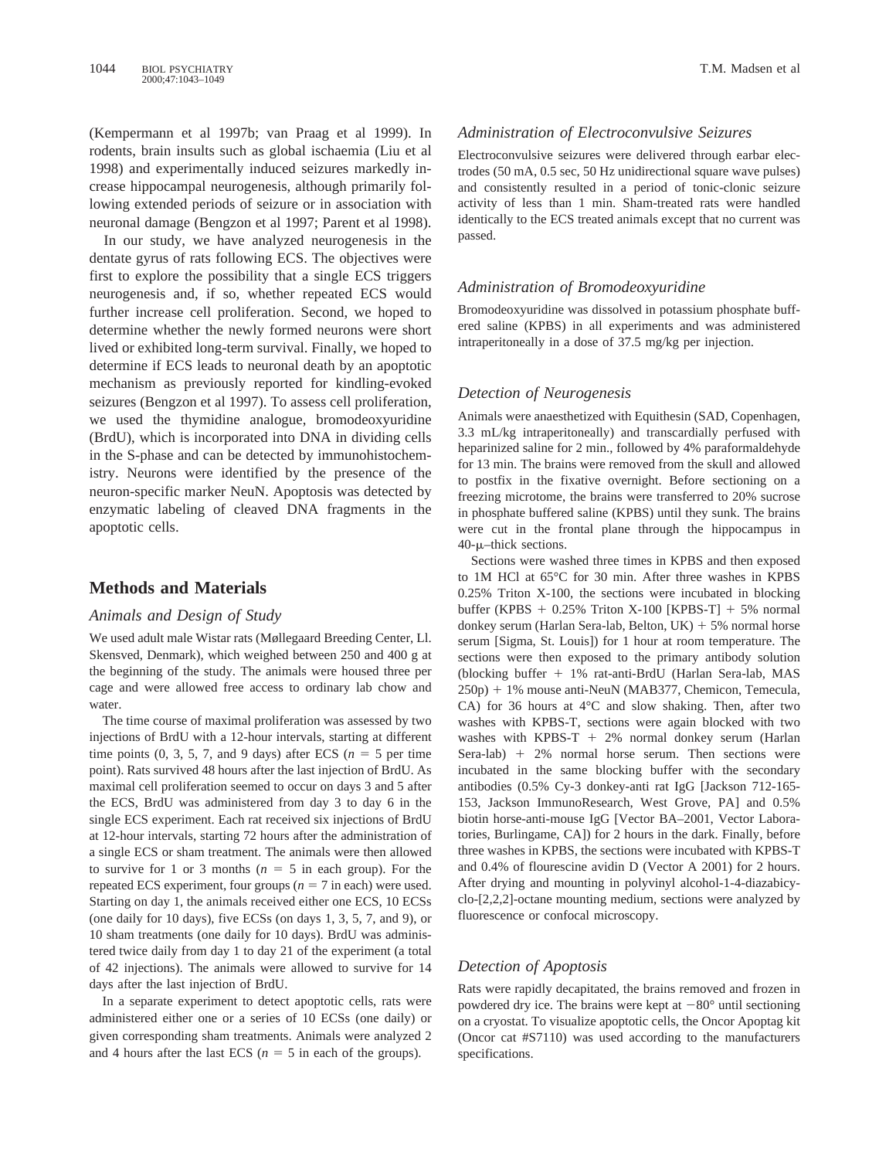(Kempermann et al 1997b; van Praag et al 1999). In rodents, brain insults such as global ischaemia (Liu et al 1998) and experimentally induced seizures markedly increase hippocampal neurogenesis, although primarily following extended periods of seizure or in association with neuronal damage (Bengzon et al 1997; Parent et al 1998).

In our study, we have analyzed neurogenesis in the dentate gyrus of rats following ECS. The objectives were first to explore the possibility that a single ECS triggers neurogenesis and, if so, whether repeated ECS would further increase cell proliferation. Second, we hoped to determine whether the newly formed neurons were short lived or exhibited long-term survival. Finally, we hoped to determine if ECS leads to neuronal death by an apoptotic mechanism as previously reported for kindling-evoked seizures (Bengzon et al 1997). To assess cell proliferation, we used the thymidine analogue, bromodeoxyuridine (BrdU), which is incorporated into DNA in dividing cells in the S-phase and can be detected by immunohistochemistry. Neurons were identified by the presence of the neuron-specific marker NeuN. Apoptosis was detected by enzymatic labeling of cleaved DNA fragments in the apoptotic cells.

# **Methods and Materials**

#### *Animals and Design of Study*

We used adult male Wistar rats (Møllegaard Breeding Center, Ll. Skensved, Denmark), which weighed between 250 and 400 g at the beginning of the study. The animals were housed three per cage and were allowed free access to ordinary lab chow and water.

The time course of maximal proliferation was assessed by two injections of BrdU with a 12-hour intervals, starting at different time points  $(0, 3, 5, 7,$  and 9 days) after ECS  $(n = 5$  per time point). Rats survived 48 hours after the last injection of BrdU. As maximal cell proliferation seemed to occur on days 3 and 5 after the ECS, BrdU was administered from day 3 to day 6 in the single ECS experiment. Each rat received six injections of BrdU at 12-hour intervals, starting 72 hours after the administration of a single ECS or sham treatment. The animals were then allowed to survive for 1 or 3 months ( $n = 5$  in each group). For the repeated ECS experiment, four groups ( $n = 7$  in each) were used. Starting on day 1, the animals received either one ECS, 10 ECSs (one daily for 10 days), five ECSs (on days 1, 3, 5, 7, and 9), or 10 sham treatments (one daily for 10 days). BrdU was administered twice daily from day 1 to day 21 of the experiment (a total of 42 injections). The animals were allowed to survive for 14 days after the last injection of BrdU.

In a separate experiment to detect apoptotic cells, rats were administered either one or a series of 10 ECSs (one daily) or given corresponding sham treatments. Animals were analyzed 2 and 4 hours after the last ECS ( $n = 5$  in each of the groups).

### *Administration of Electroconvulsive Seizures*

Electroconvulsive seizures were delivered through earbar electrodes (50 mA, 0.5 sec, 50 Hz unidirectional square wave pulses) and consistently resulted in a period of tonic-clonic seizure activity of less than 1 min. Sham-treated rats were handled identically to the ECS treated animals except that no current was passed.

#### *Administration of Bromodeoxyuridine*

Bromodeoxyuridine was dissolved in potassium phosphate buffered saline (KPBS) in all experiments and was administered intraperitoneally in a dose of 37.5 mg/kg per injection.

#### *Detection of Neurogenesis*

Animals were anaesthetized with Equithesin (SAD, Copenhagen, 3.3 mL/kg intraperitoneally) and transcardially perfused with heparinized saline for 2 min., followed by 4% paraformaldehyde for 13 min. The brains were removed from the skull and allowed to postfix in the fixative overnight. Before sectioning on a freezing microtome, the brains were transferred to 20% sucrose in phosphate buffered saline (KPBS) until they sunk. The brains were cut in the frontal plane through the hippocampus in  $40$ - $\mu$ –thick sections.

Sections were washed three times in KPBS and then exposed to 1M HCl at 65°C for 30 min. After three washes in KPBS 0.25% Triton X-100, the sections were incubated in blocking buffer (KPBS  $+ 0.25\%$  Triton X-100 [KPBS-T]  $+ 5\%$  normal donkey serum (Harlan Sera-lab, Belton,  $UK$ ) + 5% normal horse serum [Sigma, St. Louis]) for 1 hour at room temperature. The sections were then exposed to the primary antibody solution (blocking buffer 1 1% rat-anti-BrdU (Harlan Sera-lab, MAS 250p) + 1% mouse anti-NeuN (MAB377, Chemicon, Temecula, CA) for 36 hours at 4°C and slow shaking. Then, after two washes with KPBS-T, sections were again blocked with two washes with KPBS-T + 2% normal donkey serum (Harlan Sera-lab)  $+$  2% normal horse serum. Then sections were incubated in the same blocking buffer with the secondary antibodies (0.5% Cy-3 donkey-anti rat IgG [Jackson 712-165- 153, Jackson ImmunoResearch, West Grove, PA] and 0.5% biotin horse-anti-mouse IgG [Vector BA–2001, Vector Laboratories, Burlingame, CA]) for 2 hours in the dark. Finally, before three washes in KPBS, the sections were incubated with KPBS-T and 0.4% of flourescine avidin D (Vector A 2001) for 2 hours. After drying and mounting in polyvinyl alcohol-1-4-diazabicyclo-[2,2,2]-octane mounting medium, sections were analyzed by fluorescence or confocal microscopy.

#### *Detection of Apoptosis*

Rats were rapidly decapitated, the brains removed and frozen in powdered dry ice. The brains were kept at  $-80^\circ$  until sectioning on a cryostat. To visualize apoptotic cells, the Oncor Apoptag kit (Oncor cat #S7110) was used according to the manufacturers specifications.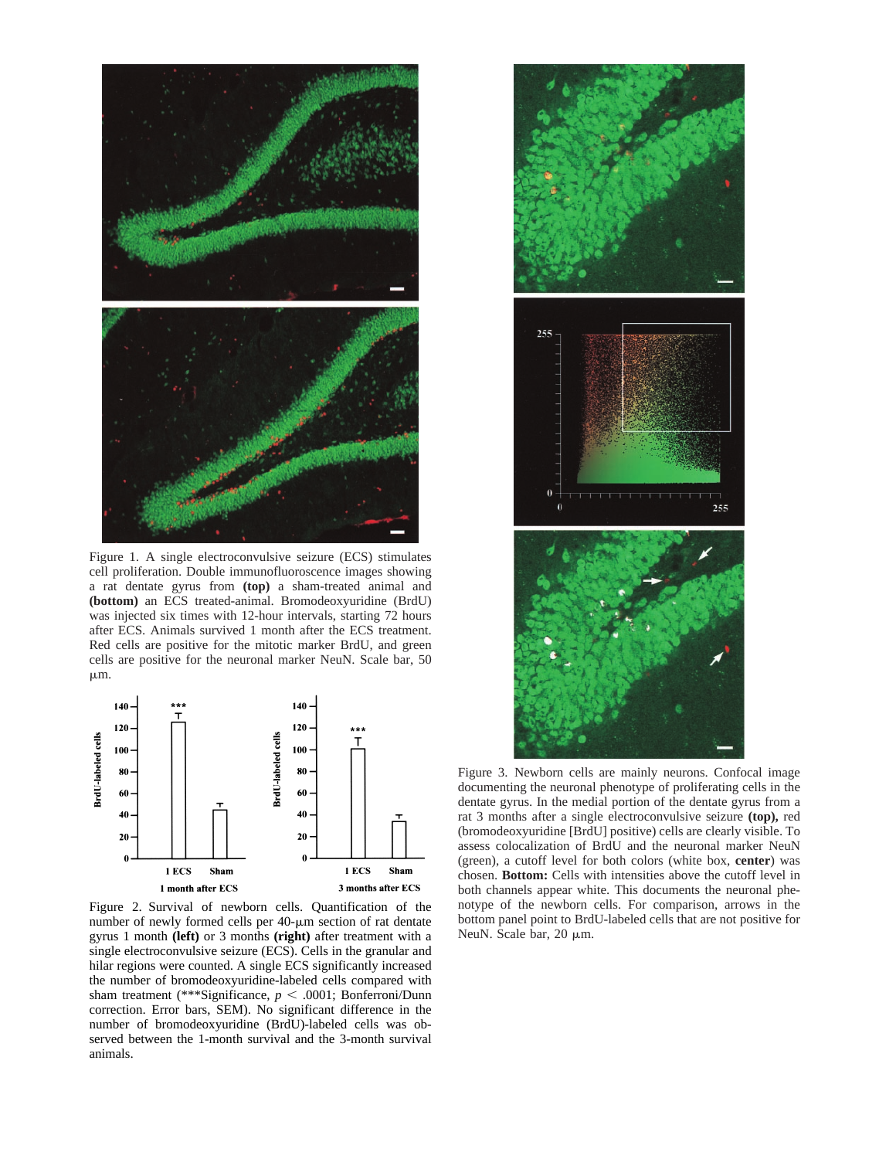

Figure 1. A single electroconvulsive seizure (ECS) stimulates cell proliferation. Double immunofluoroscence images showing a rat dentate gyrus from **(top)** a sham-treated animal and **(bottom)** an ECS treated-animal. Bromodeoxyuridine (BrdU) was injected six times with 12-hour intervals, starting 72 hours after ECS. Animals survived 1 month after the ECS treatment. Red cells are positive for the mitotic marker BrdU, and green cells are positive for the neuronal marker NeuN. Scale bar, 50  $\mu$ m.



Figure 2. Survival of newborn cells. Quantification of the number of newly formed cells per  $40$ - $\mu$ m section of rat dentate gyrus 1 month **(left)** or 3 months **(right)** after treatment with a single electroconvulsive seizure (ECS). Cells in the granular and hilar regions were counted. A single ECS significantly increased the number of bromodeoxyuridine-labeled cells compared with sham treatment (\*\*\*Significance,  $p < .0001$ ; Bonferroni/Dunn correction. Error bars, SEM). No significant difference in the number of bromodeoxyuridine (BrdU)-labeled cells was observed between the 1-month survival and the 3-month survival animals.



Figure 3. Newborn cells are mainly neurons. Confocal image documenting the neuronal phenotype of proliferating cells in the dentate gyrus. In the medial portion of the dentate gyrus from a rat 3 months after a single electroconvulsive seizure **(top),** red (bromodeoxyuridine [BrdU] positive) cells are clearly visible. To assess colocalization of BrdU and the neuronal marker NeuN (green), a cutoff level for both colors (white box, **center**) was chosen. **Bottom:** Cells with intensities above the cutoff level in both channels appear white. This documents the neuronal phenotype of the newborn cells. For comparison, arrows in the bottom panel point to BrdU-labeled cells that are not positive for NeuN. Scale bar,  $20 \mu m$ .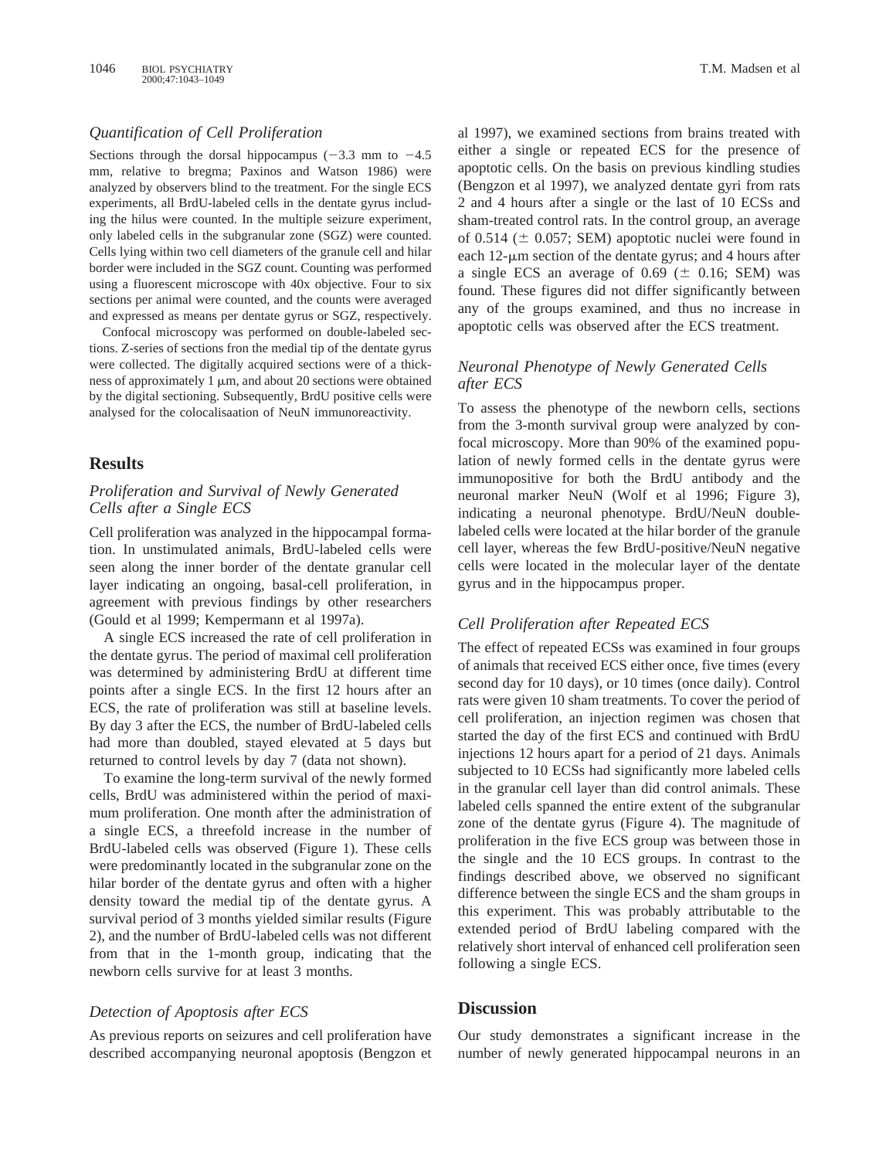# *Quantification of Cell Proliferation*

Sections through the dorsal hippocampus  $(-3.3 \text{ mm to } -4.5$ mm, relative to bregma; Paxinos and Watson 1986) were analyzed by observers blind to the treatment. For the single ECS experiments, all BrdU-labeled cells in the dentate gyrus including the hilus were counted. In the multiple seizure experiment, only labeled cells in the subgranular zone (SGZ) were counted. Cells lying within two cell diameters of the granule cell and hilar border were included in the SGZ count. Counting was performed using a fluorescent microscope with 40x objective. Four to six sections per animal were counted, and the counts were averaged and expressed as means per dentate gyrus or SGZ, respectively.

Confocal microscopy was performed on double-labeled sections. Z-series of sections fron the medial tip of the dentate gyrus were collected. The digitally acquired sections were of a thickness of approximately 1  $\mu$ m, and about 20 sections were obtained by the digital sectioning. Subsequently, BrdU positive cells were analysed for the colocalisaation of NeuN immunoreactivity.

## **Results**

## *Proliferation and Survival of Newly Generated Cells after a Single ECS*

Cell proliferation was analyzed in the hippocampal formation. In unstimulated animals, BrdU-labeled cells were seen along the inner border of the dentate granular cell layer indicating an ongoing, basal-cell proliferation, in agreement with previous findings by other researchers (Gould et al 1999; Kempermann et al 1997a).

A single ECS increased the rate of cell proliferation in the dentate gyrus. The period of maximal cell proliferation was determined by administering BrdU at different time points after a single ECS. In the first 12 hours after an ECS, the rate of proliferation was still at baseline levels. By day 3 after the ECS, the number of BrdU-labeled cells had more than doubled, stayed elevated at 5 days but returned to control levels by day 7 (data not shown).

To examine the long-term survival of the newly formed cells, BrdU was administered within the period of maximum proliferation. One month after the administration of a single ECS, a threefold increase in the number of BrdU-labeled cells was observed (Figure 1). These cells were predominantly located in the subgranular zone on the hilar border of the dentate gyrus and often with a higher density toward the medial tip of the dentate gyrus. A survival period of 3 months yielded similar results (Figure 2), and the number of BrdU-labeled cells was not different from that in the 1-month group, indicating that the newborn cells survive for at least 3 months.

## *Detection of Apoptosis after ECS*

As previous reports on seizures and cell proliferation have described accompanying neuronal apoptosis (Bengzon et al 1997), we examined sections from brains treated with either a single or repeated ECS for the presence of apoptotic cells. On the basis on previous kindling studies (Bengzon et al 1997), we analyzed dentate gyri from rats 2 and 4 hours after a single or the last of 10 ECSs and sham-treated control rats. In the control group, an average of 0.514 ( $\pm$  0.057; SEM) apoptotic nuclei were found in each  $12$ - $\mu$ m section of the dentate gyrus; and 4 hours after a single ECS an average of  $0.69 \ (\pm 0.16; \text{SEM})$  was found. These figures did not differ significantly between any of the groups examined, and thus no increase in apoptotic cells was observed after the ECS treatment.

# *Neuronal Phenotype of Newly Generated Cells after ECS*

To assess the phenotype of the newborn cells, sections from the 3-month survival group were analyzed by confocal microscopy. More than 90% of the examined population of newly formed cells in the dentate gyrus were immunopositive for both the BrdU antibody and the neuronal marker NeuN (Wolf et al 1996; Figure 3), indicating a neuronal phenotype. BrdU/NeuN doublelabeled cells were located at the hilar border of the granule cell layer, whereas the few BrdU-positive/NeuN negative cells were located in the molecular layer of the dentate gyrus and in the hippocampus proper.

#### *Cell Proliferation after Repeated ECS*

The effect of repeated ECSs was examined in four groups of animals that received ECS either once, five times (every second day for 10 days), or 10 times (once daily). Control rats were given 10 sham treatments. To cover the period of cell proliferation, an injection regimen was chosen that started the day of the first ECS and continued with BrdU injections 12 hours apart for a period of 21 days. Animals subjected to 10 ECSs had significantly more labeled cells in the granular cell layer than did control animals. These labeled cells spanned the entire extent of the subgranular zone of the dentate gyrus (Figure 4). The magnitude of proliferation in the five ECS group was between those in the single and the 10 ECS groups. In contrast to the findings described above, we observed no significant difference between the single ECS and the sham groups in this experiment. This was probably attributable to the extended period of BrdU labeling compared with the relatively short interval of enhanced cell proliferation seen following a single ECS.

# **Discussion**

Our study demonstrates a significant increase in the number of newly generated hippocampal neurons in an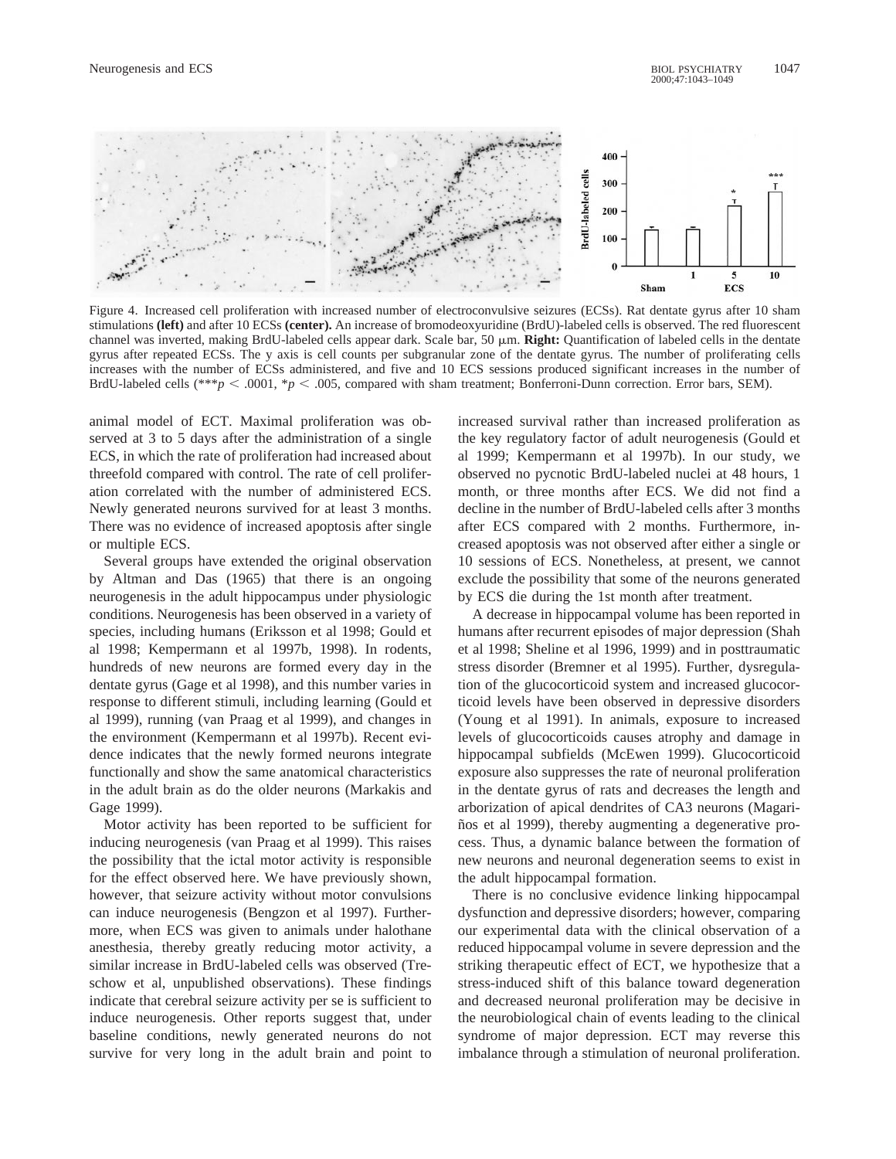

Figure 4. Increased cell proliferation with increased number of electroconvulsive seizures (ECSs). Rat dentate gyrus after 10 sham stimulations **(left)** and after 10 ECSs **(center).** An increase of bromodeoxyuridine (BrdU)-labeled cells is observed. The red fluorescent channel was inverted, making BrdU-labeled cells appear dark. Scale bar, 50  $\mu$ m. **Right:** Quantification of labeled cells in the dentate gyrus after repeated ECSs. The y axis is cell counts per subgranular zone of the dentate gyrus. The number of proliferating cells increases with the number of ECSs administered, and five and 10 ECS sessions produced significant increases in the number of BrdU-labeled cells (\*\*\**p*  $\lt$  .0001, \**p*  $\lt$  .005, compared with sham treatment; Bonferroni-Dunn correction. Error bars, SEM).

animal model of ECT. Maximal proliferation was observed at 3 to 5 days after the administration of a single ECS, in which the rate of proliferation had increased about threefold compared with control. The rate of cell proliferation correlated with the number of administered ECS. Newly generated neurons survived for at least 3 months. There was no evidence of increased apoptosis after single or multiple ECS.

Several groups have extended the original observation by Altman and Das (1965) that there is an ongoing neurogenesis in the adult hippocampus under physiologic conditions. Neurogenesis has been observed in a variety of species, including humans (Eriksson et al 1998; Gould et al 1998; Kempermann et al 1997b, 1998). In rodents, hundreds of new neurons are formed every day in the dentate gyrus (Gage et al 1998), and this number varies in response to different stimuli, including learning (Gould et al 1999), running (van Praag et al 1999), and changes in the environment (Kempermann et al 1997b). Recent evidence indicates that the newly formed neurons integrate functionally and show the same anatomical characteristics in the adult brain as do the older neurons (Markakis and Gage 1999).

Motor activity has been reported to be sufficient for inducing neurogenesis (van Praag et al 1999). This raises the possibility that the ictal motor activity is responsible for the effect observed here. We have previously shown, however, that seizure activity without motor convulsions can induce neurogenesis (Bengzon et al 1997). Furthermore, when ECS was given to animals under halothane anesthesia, thereby greatly reducing motor activity, a similar increase in BrdU-labeled cells was observed (Treschow et al, unpublished observations). These findings indicate that cerebral seizure activity per se is sufficient to induce neurogenesis. Other reports suggest that, under baseline conditions, newly generated neurons do not survive for very long in the adult brain and point to

increased survival rather than increased proliferation as the key regulatory factor of adult neurogenesis (Gould et al 1999; Kempermann et al 1997b). In our study, we observed no pycnotic BrdU-labeled nuclei at 48 hours, 1 month, or three months after ECS. We did not find a decline in the number of BrdU-labeled cells after 3 months after ECS compared with 2 months. Furthermore, increased apoptosis was not observed after either a single or 10 sessions of ECS. Nonetheless, at present, we cannot exclude the possibility that some of the neurons generated by ECS die during the 1st month after treatment.

A decrease in hippocampal volume has been reported in humans after recurrent episodes of major depression (Shah et al 1998; Sheline et al 1996, 1999) and in posttraumatic stress disorder (Bremner et al 1995). Further, dysregulation of the glucocorticoid system and increased glucocorticoid levels have been observed in depressive disorders (Young et al 1991). In animals, exposure to increased levels of glucocorticoids causes atrophy and damage in hippocampal subfields (McEwen 1999). Glucocorticoid exposure also suppresses the rate of neuronal proliferation in the dentate gyrus of rats and decreases the length and arborization of apical dendrites of CA3 neurons (Magariños et al 1999), thereby augmenting a degenerative process. Thus, a dynamic balance between the formation of new neurons and neuronal degeneration seems to exist in the adult hippocampal formation.

There is no conclusive evidence linking hippocampal dysfunction and depressive disorders; however, comparing our experimental data with the clinical observation of a reduced hippocampal volume in severe depression and the striking therapeutic effect of ECT, we hypothesize that a stress-induced shift of this balance toward degeneration and decreased neuronal proliferation may be decisive in the neurobiological chain of events leading to the clinical syndrome of major depression. ECT may reverse this imbalance through a stimulation of neuronal proliferation.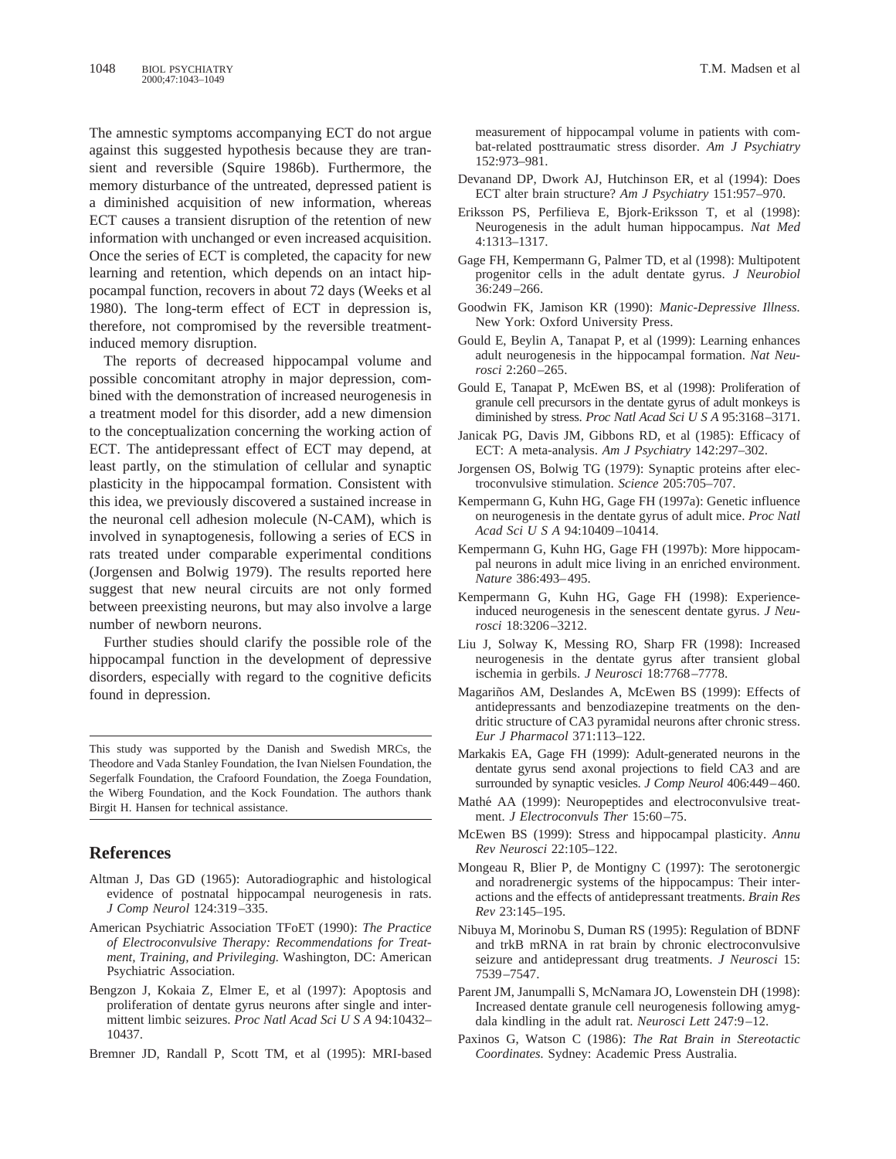The amnestic symptoms accompanying ECT do not argue against this suggested hypothesis because they are transient and reversible (Squire 1986b). Furthermore, the memory disturbance of the untreated, depressed patient is a diminished acquisition of new information, whereas ECT causes a transient disruption of the retention of new information with unchanged or even increased acquisition. Once the series of ECT is completed, the capacity for new learning and retention, which depends on an intact hippocampal function, recovers in about 72 days (Weeks et al 1980). The long-term effect of ECT in depression is, therefore, not compromised by the reversible treatmentinduced memory disruption.

The reports of decreased hippocampal volume and possible concomitant atrophy in major depression, combined with the demonstration of increased neurogenesis in a treatment model for this disorder, add a new dimension to the conceptualization concerning the working action of ECT. The antidepressant effect of ECT may depend, at least partly, on the stimulation of cellular and synaptic plasticity in the hippocampal formation. Consistent with this idea, we previously discovered a sustained increase in the neuronal cell adhesion molecule (N-CAM), which is involved in synaptogenesis, following a series of ECS in rats treated under comparable experimental conditions (Jorgensen and Bolwig 1979). The results reported here suggest that new neural circuits are not only formed between preexisting neurons, but may also involve a large number of newborn neurons.

Further studies should clarify the possible role of the hippocampal function in the development of depressive disorders, especially with regard to the cognitive deficits found in depression.

This study was supported by the Danish and Swedish MRCs, the Theodore and Vada Stanley Foundation, the Ivan Nielsen Foundation, the Segerfalk Foundation, the Crafoord Foundation, the Zoega Foundation, the Wiberg Foundation, and the Kock Foundation. The authors thank Birgit H. Hansen for technical assistance.

# **References**

- Altman J, Das GD (1965): Autoradiographic and histological evidence of postnatal hippocampal neurogenesis in rats. *J Comp Neurol* 124:319–335.
- American Psychiatric Association TFoET (1990): *The Practice of Electroconvulsive Therapy: Recommendations for Treatment, Training, and Privileging.* Washington, DC: American Psychiatric Association.
- Bengzon J, Kokaia Z, Elmer E, et al (1997): Apoptosis and proliferation of dentate gyrus neurons after single and intermittent limbic seizures. *Proc Natl Acad Sci U S A* 94:10432– 10437.
- Bremner JD, Randall P, Scott TM, et al (1995): MRI-based

measurement of hippocampal volume in patients with combat-related posttraumatic stress disorder. *Am J Psychiatry* 152:973–981.

- Devanand DP, Dwork AJ, Hutchinson ER, et al (1994): Does ECT alter brain structure? *Am J Psychiatry* 151:957–970.
- Eriksson PS, Perfilieva E, Bjork-Eriksson T, et al (1998): Neurogenesis in the adult human hippocampus. *Nat Med* 4:1313–1317.
- Gage FH, Kempermann G, Palmer TD, et al (1998): Multipotent progenitor cells in the adult dentate gyrus. *J Neurobiol* 36:249–266.
- Goodwin FK, Jamison KR (1990): *Manic-Depressive Illness.* New York: Oxford University Press.
- Gould E, Beylin A, Tanapat P, et al (1999): Learning enhances adult neurogenesis in the hippocampal formation. *Nat Neurosci* 2:260–265.
- Gould E, Tanapat P, McEwen BS, et al (1998): Proliferation of granule cell precursors in the dentate gyrus of adult monkeys is diminished by stress. *Proc Natl Acad Sci U S A* 95:3168-3171.
- Janicak PG, Davis JM, Gibbons RD, et al (1985): Efficacy of ECT: A meta-analysis. *Am J Psychiatry* 142:297–302.
- Jorgensen OS, Bolwig TG (1979): Synaptic proteins after electroconvulsive stimulation. *Science* 205:705–707.
- Kempermann G, Kuhn HG, Gage FH (1997a): Genetic influence on neurogenesis in the dentate gyrus of adult mice. *Proc Natl Acad SciUSA* 94:10409–10414.
- Kempermann G, Kuhn HG, Gage FH (1997b): More hippocampal neurons in adult mice living in an enriched environment. *Nature* 386:493–495.
- Kempermann G, Kuhn HG, Gage FH (1998): Experienceinduced neurogenesis in the senescent dentate gyrus. *J Neurosci* 18:3206–3212.
- Liu J, Solway K, Messing RO, Sharp FR (1998): Increased neurogenesis in the dentate gyrus after transient global ischemia in gerbils. *J Neurosci* 18:7768–7778.
- Magariños AM, Deslandes A, McEwen BS (1999): Effects of antidepressants and benzodiazepine treatments on the dendritic structure of CA3 pyramidal neurons after chronic stress. *Eur J Pharmacol* 371:113–122.
- Markakis EA, Gage FH (1999): Adult-generated neurons in the dentate gyrus send axonal projections to field CA3 and are surrounded by synaptic vesicles. *J Comp Neurol* 406:449–460.
- Mathé AA (1999): Neuropeptides and electroconvulsive treatment. *J Electroconvuls Ther* 15:60–75.
- McEwen BS (1999): Stress and hippocampal plasticity. *Annu Rev Neurosci* 22:105–122.
- Mongeau R, Blier P, de Montigny C (1997): The serotonergic and noradrenergic systems of the hippocampus: Their interactions and the effects of antidepressant treatments. *Brain Res Rev* 23:145–195.
- Nibuya M, Morinobu S, Duman RS (1995): Regulation of BDNF and trkB mRNA in rat brain by chronic electroconvulsive seizure and antidepressant drug treatments. *J Neurosci* 15: 7539–7547.
- Parent JM, Janumpalli S, McNamara JO, Lowenstein DH (1998): Increased dentate granule cell neurogenesis following amygdala kindling in the adult rat. *Neurosci Lett* 247:9–12.
- Paxinos G, Watson C (1986): *The Rat Brain in Stereotactic Coordinates.* Sydney: Academic Press Australia.